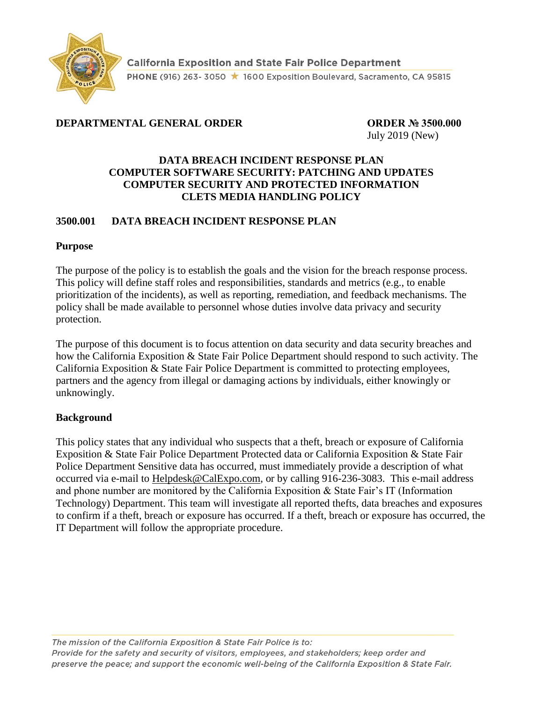

# **DEPARTMENTAL GENERAL ORDER ORDER № 3500.000**

July 2019 (New)

#### **DATA BREACH INCIDENT RESPONSE PLAN COMPUTER SOFTWARE SECURITY: PATCHING AND UPDATES COMPUTER SECURITY AND PROTECTED INFORMATION CLETS MEDIA HANDLING POLICY**

### **3500.001 DATA BREACH INCIDENT RESPONSE PLAN**

#### **Purpose**

The purpose of the policy is to establish the goals and the vision for the breach response process. This policy will define staff roles and responsibilities, standards and metrics (e.g., to enable prioritization of the incidents), as well as reporting, remediation, and feedback mechanisms. The policy shall be made available to personnel whose duties involve data privacy and security protection.

The purpose of this document is to focus attention on data security and data security breaches and how the California Exposition & State Fair Police Department should respond to such activity. The California Exposition & State Fair Police Department is committed to protecting employees, partners and the agency from illegal or damaging actions by individuals, either knowingly or unknowingly.

#### **Background**

This policy states that any individual who suspects that a theft, breach or exposure of California Exposition & State Fair Police Department Protected data or California Exposition & State Fair Police Department Sensitive data has occurred, must immediately provide a description of what occurred via e-mail to [Helpdesk@CalExpo.com,](mailto:Helpdesk@CalExpo.com) or by calling 916-236-3083. This e-mail address and phone number are monitored by the California Exposition & State Fair's IT (Information Technology) Department. This team will investigate all reported thefts, data breaches and exposures to confirm if a theft, breach or exposure has occurred. If a theft, breach or exposure has occurred, the IT Department will follow the appropriate procedure.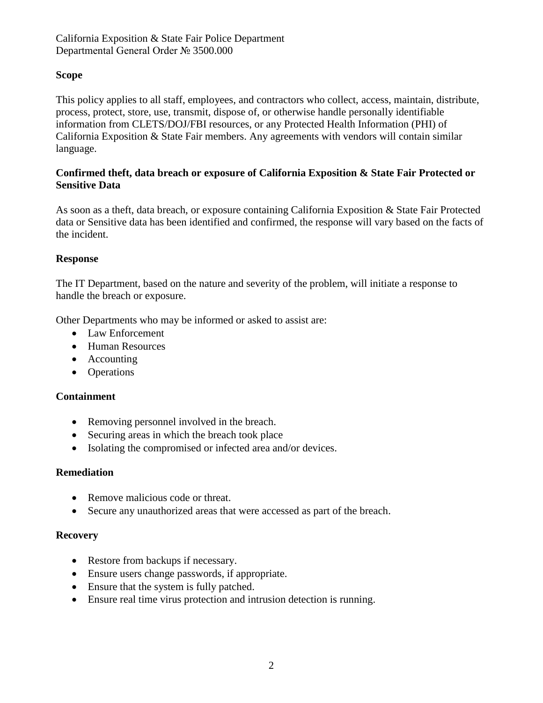### **Scope**

This policy applies to all staff, employees, and contractors who collect, access, maintain, distribute, process, protect, store, use, transmit, dispose of, or otherwise handle personally identifiable information from CLETS/DOJ/FBI resources, or any Protected Health Information (PHI) of California Exposition & State Fair members. Any agreements with vendors will contain similar language.

#### **Confirmed theft, data breach or exposure of California Exposition & State Fair Protected or Sensitive Data**

As soon as a theft, data breach, or exposure containing California Exposition & State Fair Protected data or Sensitive data has been identified and confirmed, the response will vary based on the facts of the incident.

#### **Response**

The IT Department, based on the nature and severity of the problem, will initiate a response to handle the breach or exposure.

Other Departments who may be informed or asked to assist are:

- Law Enforcement
- Human Resources
- Accounting
- Operations

#### **Containment**

- Removing personnel involved in the breach.
- Securing areas in which the breach took place
- Isolating the compromised or infected area and/or devices.

#### **Remediation**

- Remove malicious code or threat.
- Secure any unauthorized areas that were accessed as part of the breach.

#### **Recovery**

- Restore from backups if necessary.
- Ensure users change passwords, if appropriate.
- Ensure that the system is fully patched.
- Ensure real time virus protection and intrusion detection is running.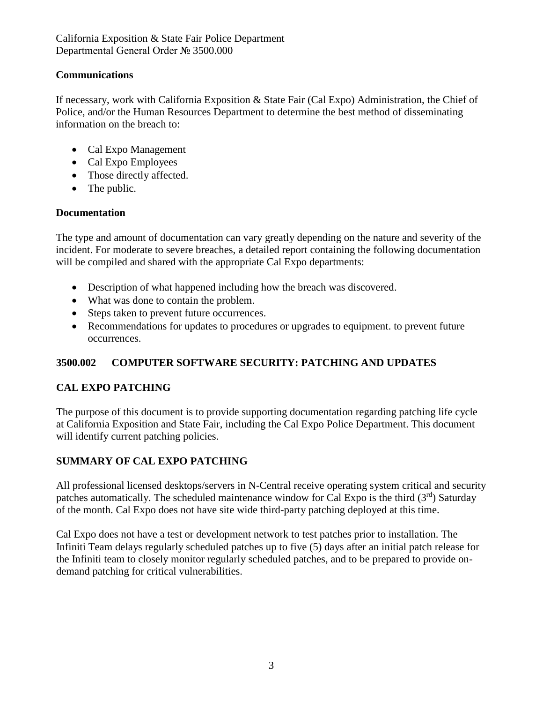## **Communications**

If necessary, work with California Exposition & State Fair (Cal Expo) Administration, the Chief of Police, and/or the Human Resources Department to determine the best method of disseminating information on the breach to:

- Cal Expo Management
- Cal Expo Employees
- Those directly affected.
- The public.

#### **Documentation**

The type and amount of documentation can vary greatly depending on the nature and severity of the incident. For moderate to severe breaches, a detailed report containing the following documentation will be compiled and shared with the appropriate Cal Expo departments:

- Description of what happened including how the breach was discovered.
- What was done to contain the problem.
- Steps taken to prevent future occurrences.
- Recommendations for updates to procedures or upgrades to equipment, to prevent future occurrences.

## **3500.002 COMPUTER SOFTWARE SECURITY: PATCHING AND UPDATES**

## **CAL EXPO PATCHING**

The purpose of this document is to provide supporting documentation regarding patching life cycle at California Exposition and State Fair, including the Cal Expo Police Department. This document will identify current patching policies.

# **SUMMARY OF CAL EXPO PATCHING**

All professional licensed desktops/servers in N-Central receive operating system critical and security patches automatically. The scheduled maintenance window for Cal Expo is the third  $(3<sup>rd</sup>)$  Saturday of the month. Cal Expo does not have site wide third-party patching deployed at this time.

Cal Expo does not have a test or development network to test patches prior to installation. The Infiniti Team delays regularly scheduled patches up to five (5) days after an initial patch release for the Infiniti team to closely monitor regularly scheduled patches, and to be prepared to provide ondemand patching for critical vulnerabilities.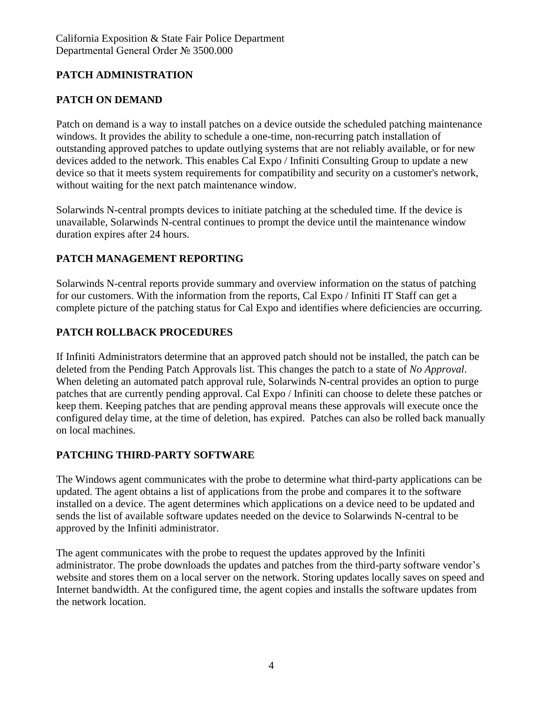# **PATCH ADMINISTRATION**

# **PATCH ON DEMAND**

Patch on demand is a way to install patches on a device outside the scheduled patching maintenance windows. It provides the ability to schedule a one-time, non-recurring patch installation of outstanding approved patches to update outlying systems that are not reliably available, or for new devices added to the network. This enables Cal Expo / Infiniti Consulting Group to update a new device so that it meets system requirements for compatibility and security on a customer's network, without waiting for the next patch maintenance window.

Solarwinds N-central prompts devices to initiate patching at the scheduled time. If the device is unavailable, Solarwinds N-central continues to prompt the device until the maintenance window duration expires after 24 hours.

## **PATCH MANAGEMENT REPORTING**

Solarwinds N-central reports provide summary and overview information on the status of patching for our customers. With the information from the reports, Cal Expo / Infiniti IT Staff can get a complete picture of the patching status for Cal Expo and identifies where deficiencies are occurring.

## **PATCH ROLLBACK PROCEDURES**

If Infiniti Administrators determine that an approved patch should not be installed, the patch can be deleted from the Pending Patch Approvals list. This changes the patch to a state of *No Approval*. When deleting an automated patch approval rule, Solarwinds N-central provides an option to purge patches that are currently pending approval. Cal Expo / Infiniti can choose to delete these patches or keep them. Keeping patches that are pending approval means these approvals will execute once the configured delay time, at the time of deletion, has expired. Patches can also be rolled back manually on local machines.

## **PATCHING THIRD-PARTY SOFTWARE**

The Windows agent communicates with the probe to determine what third-party applications can be updated. The agent obtains a list of applications from the probe and compares it to the software installed on a device. The agent determines which applications on a device need to be updated and sends the list of available software updates needed on the device to Solarwinds N-central to be approved by the Infiniti administrator.

The agent communicates with the probe to request the updates approved by the Infiniti administrator. The probe downloads the updates and patches from the third-party software vendor's website and stores them on a local server on the network. Storing updates locally saves on speed and Internet bandwidth. At the configured time, the agent copies and installs the software updates from the network location.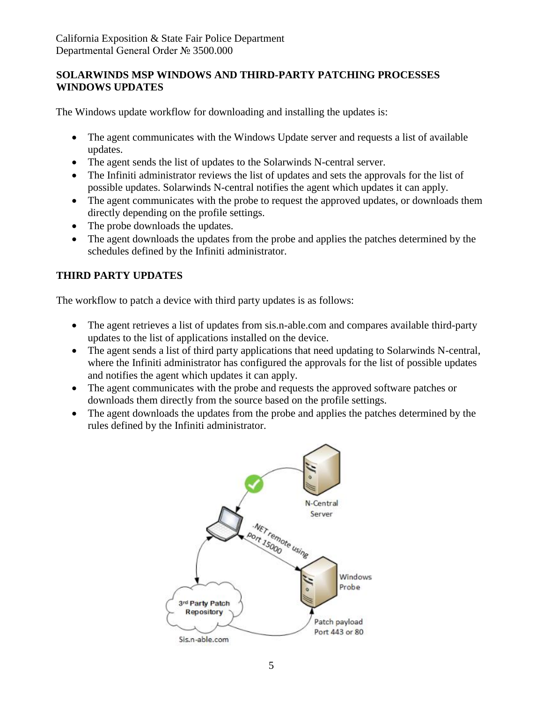### **SOLARWINDS MSP WINDOWS AND THIRD-PARTY PATCHING PROCESSES WINDOWS UPDATES**

The Windows update workflow for downloading and installing the updates is:

- The agent communicates with the Windows Update server and requests a list of available updates.
- The agent sends the list of updates to the Solarwinds N-central server.
- The Infiniti administrator reviews the list of updates and sets the approvals for the list of possible updates. Solarwinds N-central notifies the agent which updates it can apply.
- The agent communicates with the probe to request the approved updates, or downloads them directly depending on the profile settings.
- The probe downloads the updates.
- The agent downloads the updates from the probe and applies the patches determined by the schedules defined by the Infiniti administrator.

# **THIRD PARTY UPDATES**

The workflow to patch a device with third party updates is as follows:

- The agent retrieves a list of updates from sis.n-able.com and compares available third-party updates to the list of applications installed on the device.
- The agent sends a list of third party applications that need updating to Solarwinds N-central, where the Infiniti administrator has configured the approvals for the list of possible updates and notifies the agent which updates it can apply.
- The agent communicates with the probe and requests the approved software patches or downloads them directly from the source based on the profile settings.
- The agent downloads the updates from the probe and applies the patches determined by the rules defined by the Infiniti administrator.

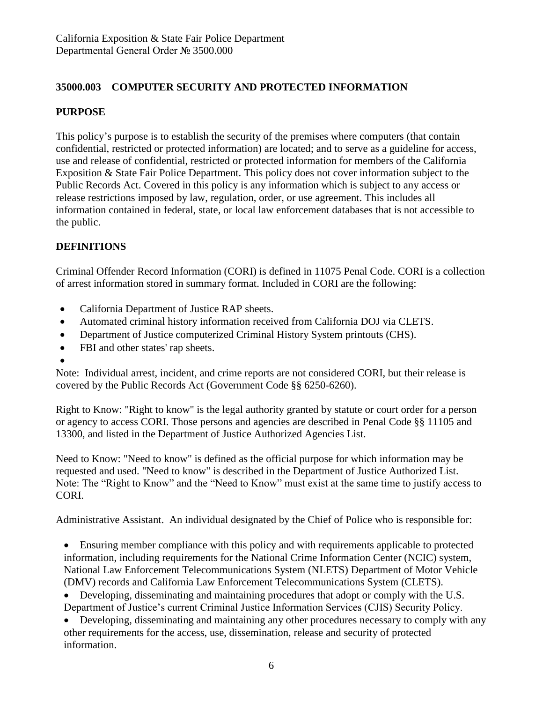## **35000.003 COMPUTER SECURITY AND PROTECTED INFORMATION**

### **PURPOSE**

This policy's purpose is to establish the security of the premises where computers (that contain confidential, restricted or protected information) are located; and to serve as a guideline for access, use and release of confidential, restricted or protected information for members of the California Exposition & State Fair Police Department. This policy does not cover information subject to the Public Records Act. Covered in this policy is any information which is subject to any access or release restrictions imposed by law, regulation, order, or use agreement. This includes all information contained in federal, state, or local law enforcement databases that is not accessible to the public.

## **DEFINITIONS**

Criminal Offender Record Information (CORI) is defined in 11075 Penal Code. CORI is a collection of arrest information stored in summary format. Included in CORI are the following:

- California Department of Justice RAP sheets.
- Automated criminal history information received from California DOJ via CLETS.
- Department of Justice computerized Criminal History System printouts (CHS).
- FBI and other states' rap sheets.
- •

Note: Individual arrest, incident, and crime reports are not considered CORI, but their release is covered by the Public Records Act (Government Code §§ 6250-6260).

Right to Know: "Right to know" is the legal authority granted by statute or court order for a person or agency to access CORI. Those persons and agencies are described in Penal Code §§ 11105 and 13300, and listed in the Department of Justice Authorized Agencies List.

Need to Know: "Need to know" is defined as the official purpose for which information may be requested and used. "Need to know" is described in the Department of Justice Authorized List. Note: The "Right to Know" and the "Need to Know" must exist at the same time to justify access to CORI.

Administrative Assistant. An individual designated by the Chief of Police who is responsible for:

• Ensuring member compliance with this policy and with requirements applicable to protected information, including requirements for the National Crime Information Center (NCIC) system, National Law Enforcement Telecommunications System (NLETS) Department of Motor Vehicle (DMV) records and California Law Enforcement Telecommunications System (CLETS).

• Developing, disseminating and maintaining procedures that adopt or comply with the U.S. Department of Justice's current Criminal Justice Information Services (CJIS) Security Policy.

• Developing, disseminating and maintaining any other procedures necessary to comply with any other requirements for the access, use, dissemination, release and security of protected information.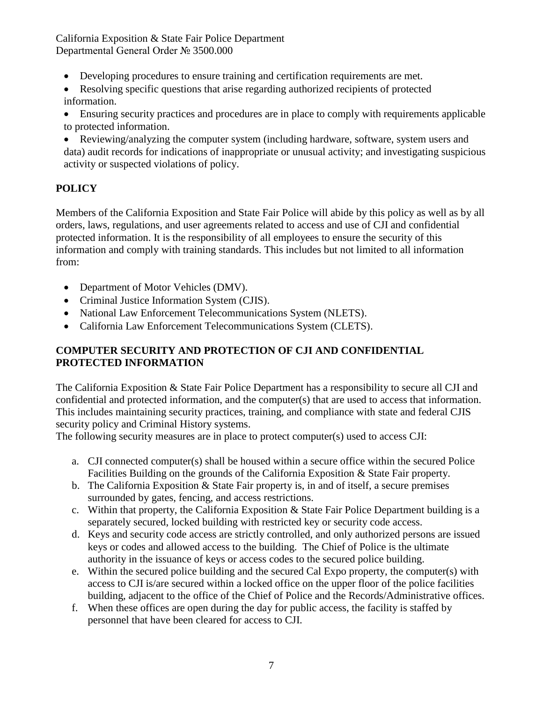California Exposition & State Fair Police Department Departmental General Order № 3500.000

- Developing procedures to ensure training and certification requirements are met.
- Resolving specific questions that arise regarding authorized recipients of protected information.
- Ensuring security practices and procedures are in place to comply with requirements applicable to protected information.
- Reviewing/analyzing the computer system (including hardware, software, system users and data) audit records for indications of inappropriate or unusual activity; and investigating suspicious activity or suspected violations of policy.

# **POLICY**

Members of the California Exposition and State Fair Police will abide by this policy as well as by all orders, laws, regulations, and user agreements related to access and use of CJI and confidential protected information. It is the responsibility of all employees to ensure the security of this information and comply with training standards. This includes but not limited to all information from:

- Department of Motor Vehicles (DMV).
- Criminal Justice Information System (CJIS).
- National Law Enforcement Telecommunications System (NLETS).
- California Law Enforcement Telecommunications System (CLETS).

### **COMPUTER SECURITY AND PROTECTION OF CJI AND CONFIDENTIAL PROTECTED INFORMATION**

The California Exposition & State Fair Police Department has a responsibility to secure all CJI and confidential and protected information, and the computer(s) that are used to access that information. This includes maintaining security practices, training, and compliance with state and federal CJIS security policy and Criminal History systems.

The following security measures are in place to protect computer(s) used to access CJI:

- a. CJI connected computer(s) shall be housed within a secure office within the secured Police Facilities Building on the grounds of the California Exposition & State Fair property.
- b. The California Exposition & State Fair property is, in and of itself, a secure premises surrounded by gates, fencing, and access restrictions.
- c. Within that property, the California Exposition & State Fair Police Department building is a separately secured, locked building with restricted key or security code access.
- d. Keys and security code access are strictly controlled, and only authorized persons are issued keys or codes and allowed access to the building. The Chief of Police is the ultimate authority in the issuance of keys or access codes to the secured police building.
- e. Within the secured police building and the secured Cal Expo property, the computer(s) with access to CJI is/are secured within a locked office on the upper floor of the police facilities building, adjacent to the office of the Chief of Police and the Records/Administrative offices.
- f. When these offices are open during the day for public access, the facility is staffed by personnel that have been cleared for access to CJI.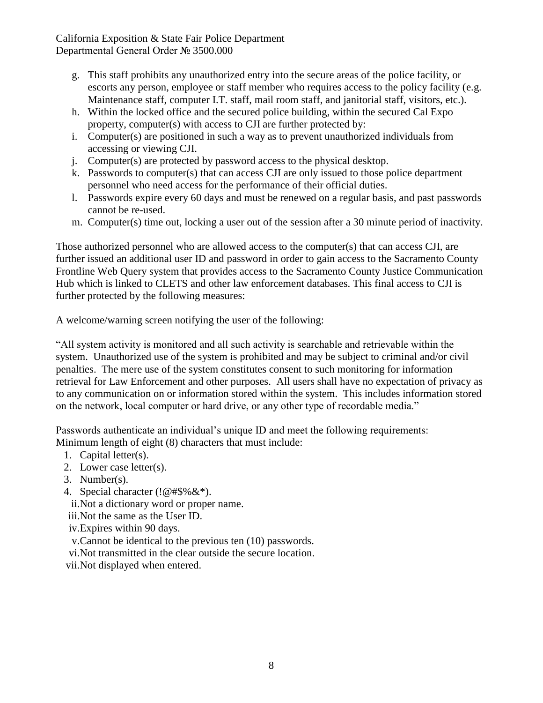California Exposition & State Fair Police Department Departmental General Order № 3500.000

- g. This staff prohibits any unauthorized entry into the secure areas of the police facility, or escorts any person, employee or staff member who requires access to the policy facility (e.g. Maintenance staff, computer I.T. staff, mail room staff, and janitorial staff, visitors, etc.).
- h. Within the locked office and the secured police building, within the secured Cal Expo property, computer(s) with access to CJI are further protected by:
- i. Computer(s) are positioned in such a way as to prevent unauthorized individuals from accessing or viewing CJI.
- j. Computer(s) are protected by password access to the physical desktop.
- k. Passwords to computer(s) that can access CJI are only issued to those police department personnel who need access for the performance of their official duties.
- l. Passwords expire every 60 days and must be renewed on a regular basis, and past passwords cannot be re-used.
- m. Computer(s) time out, locking a user out of the session after a 30 minute period of inactivity.

Those authorized personnel who are allowed access to the computer(s) that can access CJI, are further issued an additional user ID and password in order to gain access to the Sacramento County Frontline Web Query system that provides access to the Sacramento County Justice Communication Hub which is linked to CLETS and other law enforcement databases. This final access to CJI is further protected by the following measures:

A welcome/warning screen notifying the user of the following:

"All system activity is monitored and all such activity is searchable and retrievable within the system. Unauthorized use of the system is prohibited and may be subject to criminal and/or civil penalties. The mere use of the system constitutes consent to such monitoring for information retrieval for Law Enforcement and other purposes. All users shall have no expectation of privacy as to any communication on or information stored within the system. This includes information stored on the network, local computer or hard drive, or any other type of recordable media."

Passwords authenticate an individual's unique ID and meet the following requirements: Minimum length of eight (8) characters that must include:

- 1. Capital letter(s).
- 2. Lower case letter(s).
- 3. Number(s).
- 4. Special character (!@#\$%&\*).
- ii.Not a dictionary word or proper name.
- iii.Not the same as the User ID.
- iv.Expires within 90 days.
- v.Cannot be identical to the previous ten (10) passwords.
- vi.Not transmitted in the clear outside the secure location.
- vii.Not displayed when entered.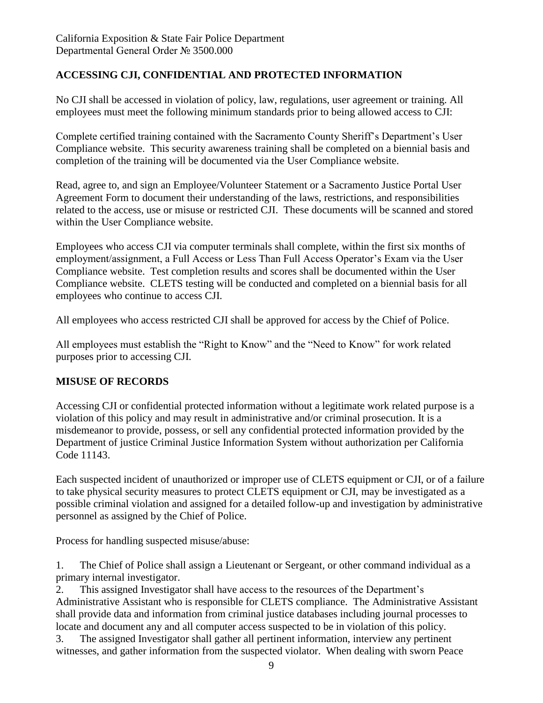## **ACCESSING CJI, CONFIDENTIAL AND PROTECTED INFORMATION**

No CJI shall be accessed in violation of policy, law, regulations, user agreement or training. All employees must meet the following minimum standards prior to being allowed access to CJI:

Complete certified training contained with the Sacramento County Sheriff's Department's User Compliance website. This security awareness training shall be completed on a biennial basis and completion of the training will be documented via the User Compliance website.

Read, agree to, and sign an Employee/Volunteer Statement or a Sacramento Justice Portal User Agreement Form to document their understanding of the laws, restrictions, and responsibilities related to the access, use or misuse or restricted CJI. These documents will be scanned and stored within the User Compliance website.

Employees who access CJI via computer terminals shall complete, within the first six months of employment/assignment, a Full Access or Less Than Full Access Operator's Exam via the User Compliance website. Test completion results and scores shall be documented within the User Compliance website. CLETS testing will be conducted and completed on a biennial basis for all employees who continue to access CJI.

All employees who access restricted CJI shall be approved for access by the Chief of Police.

All employees must establish the "Right to Know" and the "Need to Know" for work related purposes prior to accessing CJI.

## **MISUSE OF RECORDS**

Accessing CJI or confidential protected information without a legitimate work related purpose is a violation of this policy and may result in administrative and/or criminal prosecution. It is a misdemeanor to provide, possess, or sell any confidential protected information provided by the Department of justice Criminal Justice Information System without authorization per California Code 11143.

Each suspected incident of unauthorized or improper use of CLETS equipment or CJI, or of a failure to take physical security measures to protect CLETS equipment or CJI, may be investigated as a possible criminal violation and assigned for a detailed follow-up and investigation by administrative personnel as assigned by the Chief of Police.

Process for handling suspected misuse/abuse:

1. The Chief of Police shall assign a Lieutenant or Sergeant, or other command individual as a primary internal investigator.

2. This assigned Investigator shall have access to the resources of the Department's Administrative Assistant who is responsible for CLETS compliance. The Administrative Assistant shall provide data and information from criminal justice databases including journal processes to locate and document any and all computer access suspected to be in violation of this policy.

3. The assigned Investigator shall gather all pertinent information, interview any pertinent witnesses, and gather information from the suspected violator. When dealing with sworn Peace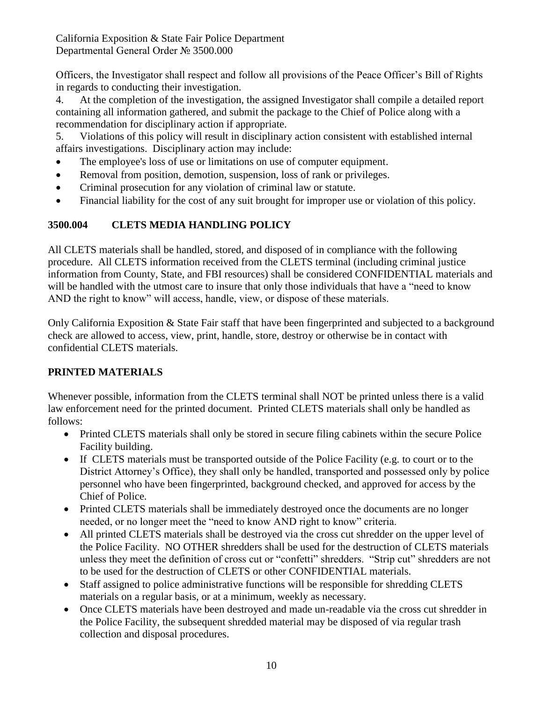California Exposition & State Fair Police Department Departmental General Order № 3500.000

Officers, the Investigator shall respect and follow all provisions of the Peace Officer's Bill of Rights in regards to conducting their investigation.

4. At the completion of the investigation, the assigned Investigator shall compile a detailed report containing all information gathered, and submit the package to the Chief of Police along with a recommendation for disciplinary action if appropriate.

5. Violations of this policy will result in disciplinary action consistent with established internal affairs investigations. Disciplinary action may include:

- The employee's loss of use or limitations on use of computer equipment.
- Removal from position, demotion, suspension, loss of rank or privileges.
- Criminal prosecution for any violation of criminal law or statute.
- Financial liability for the cost of any suit brought for improper use or violation of this policy.

## **3500.004 CLETS MEDIA HANDLING POLICY**

All CLETS materials shall be handled, stored, and disposed of in compliance with the following procedure. All CLETS information received from the CLETS terminal (including criminal justice information from County, State, and FBI resources) shall be considered CONFIDENTIAL materials and will be handled with the utmost care to insure that only those individuals that have a "need to know AND the right to know" will access, handle, view, or dispose of these materials.

Only California Exposition & State Fair staff that have been fingerprinted and subjected to a background check are allowed to access, view, print, handle, store, destroy or otherwise be in contact with confidential CLETS materials.

## **PRINTED MATERIALS**

Whenever possible, information from the CLETS terminal shall NOT be printed unless there is a valid law enforcement need for the printed document. Printed CLETS materials shall only be handled as follows:

- Printed CLETS materials shall only be stored in secure filing cabinets within the secure Police Facility building.
- If CLETS materials must be transported outside of the Police Facility (e.g. to court or to the District Attorney's Office), they shall only be handled, transported and possessed only by police personnel who have been fingerprinted, background checked, and approved for access by the Chief of Police.
- Printed CLETS materials shall be immediately destroyed once the documents are no longer needed, or no longer meet the "need to know AND right to know" criteria.
- All printed CLETS materials shall be destroyed via the cross cut shredder on the upper level of the Police Facility. NO OTHER shredders shall be used for the destruction of CLETS materials unless they meet the definition of cross cut or "confetti" shredders. "Strip cut" shredders are not to be used for the destruction of CLETS or other CONFIDENTIAL materials.
- Staff assigned to police administrative functions will be responsible for shredding CLETS materials on a regular basis, or at a minimum, weekly as necessary.
- Once CLETS materials have been destroyed and made un-readable via the cross cut shredder in the Police Facility, the subsequent shredded material may be disposed of via regular trash collection and disposal procedures.